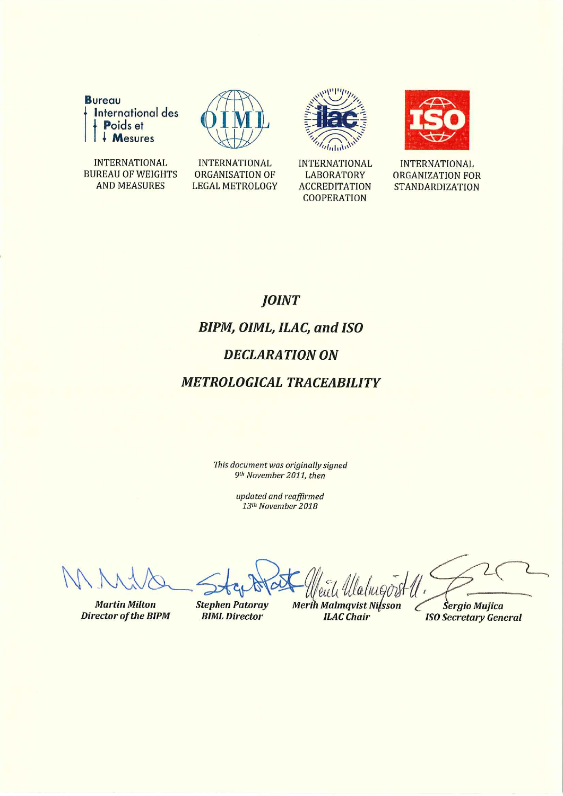

**INTERNATIONAL BUREAU OF WEIGHTS AND MEASURES** 



**INTERNATIONAL** 

ORGANISATION OF

**LEGAL METROLOGY** 



**INTERNATIONAL LABORATORY ACCREDITATION COOPERATION** 



**INTERNATIONAL ORGANIZATION FOR STANDARDIZATION** 

# **JOINT BIPM, OIML, ILAC, and ISO DECLARATION ON METROLOGICAL TRACEABILITY**

This document was originally signed 9th November 2011, then

> updated and reaffirmed 13th November 2018

**Martin Milton Director of the BIPM** 

**Stephen Patoray BIML Director** 

**Merih Malmqvist Nilsson ILAC** Chair

Sergio Mujica **ISO Secretary General**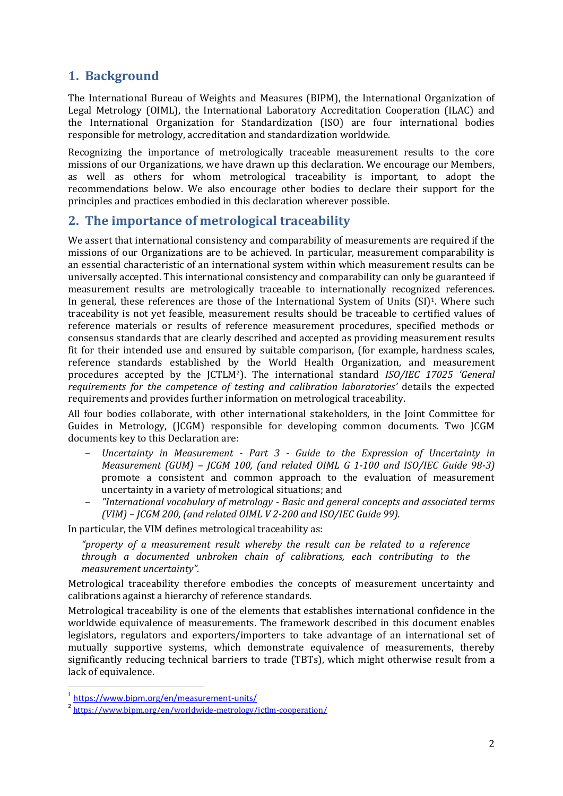### **1. Background**

The International Bureau of Weights and Measures (BIPM), the International Organization of Legal Metrology (OIML), the International Laboratory Accreditation Cooperation (ILAC) and the International Organization for Standardization (ISO) are four international bodies responsible for metrology, accreditation and standardization worldwide.

Recognizing the importance of metrologically traceable measurement results to the core missions of our Organizations, we have drawn up this declaration. We encourage our Members, as well as others for whom metrological traceability is important, to adopt the recommendations below. We also encourage other bodies to declare their support for the principles and practices embodied in this declaration wherever possible.

#### **2. The importance of metrological traceability**

We assert that international consistency and comparability of measurements are required if the missions of our Organizations are to be achieved. In particular, measurement comparability is an essential characteristic of an international system within which measurement results can be universally accepted. This international consistency and comparability can only be guaranteed if measurement results are metrologically traceable to internationally recognized references. In general, these references are those of the International System of Units (SI)<sup>1</sup>. Where such traceability is not yet feasible, measurement results should be traceable to certified values of reference materials or results of reference measurement procedures, specified methods or consensus standards that are clearly described and accepted as providing measurement results fit for their intended use and ensured by suitable comparison, (for example, hardness scales, reference standards established by the World Health Organization, and measurement procedures accepted by the JCTLM2). The international standard *ISO/IEC 17025 'General requirements for the competence of testing and calibration laboratories'* details the expected requirements and provides further information on metrological traceability.

All four bodies collaborate, with other international stakeholders, in the Joint Committee for Guides in Metrology, (JCGM) responsible for developing common documents. Two JCGM documents key to this Declaration are:

- *– Uncertainty in Measurement Part 3 Guide to the Expression of Uncertainty in Measurement (GUM) – JCGM 100, (and related OIML G 1-100 and ISO/IEC Guide 98-3)* promote a consistent and common approach to the evaluation of measurement uncertainty in a variety of metrological situations; and
- *– "International vocabulary of metrology Basic and general concepts and associated terms (VIM) – JCGM 200, (and related OIML V 2-200 and ISO/IEC Guide 99).*

In particular, the VIM defines metrological traceability as:

*"property of a measurement result whereby the result can be related to a reference through a documented unbroken chain of calibrations, each contributing to the measurement uncertainty".*

Metrological traceability therefore embodies the concepts of measurement uncertainty and calibrations against a hierarchy of reference standards.

Metrological traceability is one of the elements that establishes international confidence in the worldwide equivalence of measurements. The framework described in this document enables legislators, regulators and exporters/importers to take advantage of an international set of mutually supportive systems, which demonstrate equivalence of measurements, thereby significantly reducing technical barriers to trade (TBTs), which might otherwise result from a lack of equivalence.

<sup>1</sup> <https://www.bipm.org/en/measurement-units/>

<sup>&</sup>lt;sup>2</sup> <https://www.bipm.org/en/worldwide-metrology/jctlm-cooperation/>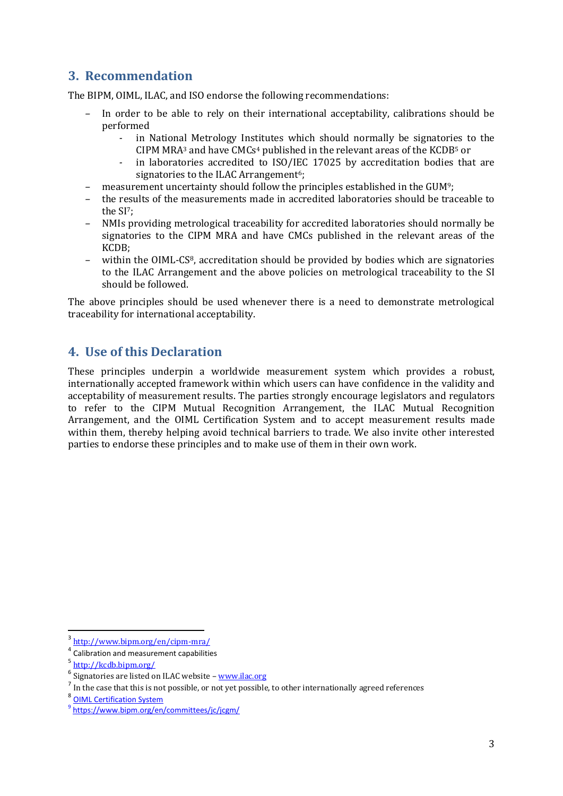## **3. Recommendation**

The BIPM, OIML, ILAC, and ISO endorse the following recommendations:

- *–* In order to be able to rely on their international acceptability, calibrations should be performed
	- *-* in National Metrology Institutes which should normally be signatories to the CIPM MRA<sup>3</sup> and have CMCs<sup>4</sup> published in the relevant areas of the KCDB<sup>5</sup> or
	- *-* in laboratories accredited to ISO/IEC 17025 by accreditation bodies that are signatories to the ILAC Arrangement<sup>6</sup>;
- *–* measurement uncertainty should follow the principles established in the GUM9;
- *–* the results of the measurements made in accredited laboratories should be traceable to the SI7;
- *–* NMIs providing metrological traceability for accredited laboratories should normally be signatories to the CIPM MRA and have CMCs published in the relevant areas of the KCDB;
- *–* within the OIML-CS8, accreditation should be provided by bodies which are signatories to the ILAC Arrangement and the above policies on metrological traceability to the SI should be followed.

The above principles should be used whenever there is a need to demonstrate metrological traceability for international acceptability.

#### **4. Use of this Declaration**

These principles underpin a worldwide measurement system which provides a robust, internationally accepted framework within which users can have confidence in the validity and acceptability of measurement results. The parties strongly encourage legislators and regulators to refer to the CIPM Mutual Recognition Arrangement, the ILAC Mutual Recognition Arrangement, and the OIML Certification System and to accept measurement results made within them, thereby helping avoid technical barriers to trade. We also invite other interested parties to endorse these principles and to make use of them in their own work.

**.** 

<sup>3</sup> <http://www.bipm.org/en/cipm-mra/>

<sup>4</sup> Calibration and measurement capabilities

<sup>5</sup> <http://kcdb.bipm.org/>

<sup>&</sup>lt;sup>6</sup> Signatories are listed on ILAC website - [www.ilac.org](http://www.ilac.org/)

<sup>7</sup> In the case that this is not possible, or not yet possible, to other internationally agreed references

<sup>&</sup>lt;sup>8</sup> [OIML Certification System](https://www.oiml.org/en/certificates/en/certificates/oiml-cs/important-information)

<sup>&</sup>lt;sup>9</sup>https://www.bipm.org/en/committees/jc/jcgm/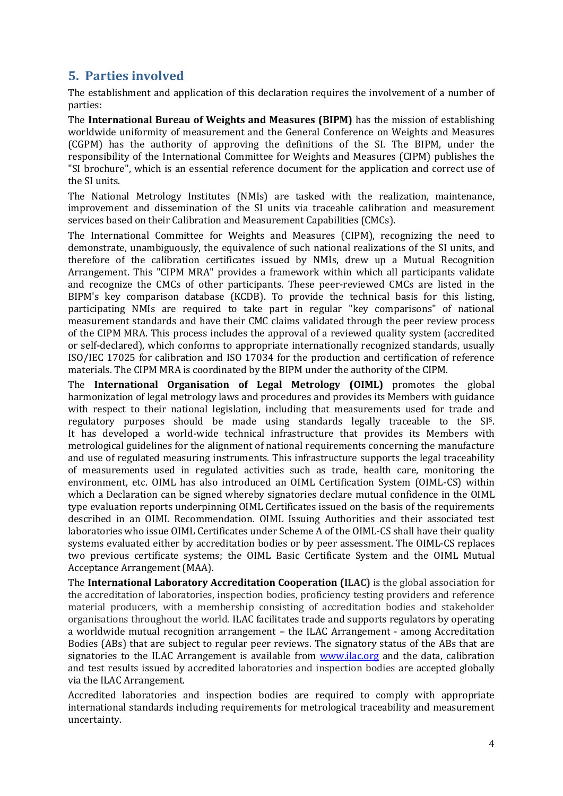## **5. Parties involved**

The establishment and application of this declaration requires the involvement of a number of parties:

The **International Bureau of Weights and Measures (BIPM)** has the mission of establishing worldwide uniformity of measurement and the General Conference on Weights and Measures (CGPM) has the authority of approving the definitions of the SI. The BIPM, under the responsibility of the International Committee for Weights and Measures (CIPM) publishes the "SI brochure", which is an essential reference document for the application and correct use of the SI units.

The National Metrology Institutes (NMIs) are tasked with the realization, maintenance, improvement and dissemination of the SI units via traceable calibration and measurement services based on their Calibration and Measurement Capabilities (CMCs).

The International Committee for Weights and Measures (CIPM), recognizing the need to demonstrate, unambiguously, the equivalence of such national realizations of the SI units, and therefore of the calibration certificates issued by NMIs, drew up a Mutual Recognition Arrangement. This "CIPM MRA" provides a framework within which all participants validate and recognize the CMCs of other participants. These peer-reviewed CMCs are listed in the BIPM's key comparison database (KCDB). To provide the technical basis for this listing, participating NMIs are required to take part in regular "key comparisons" of national measurement standards and have their CMC claims validated through the peer review process of the CIPM MRA. This process includes the approval of a reviewed quality system (accredited or self-declared), which conforms to appropriate internationally recognized standards, usually ISO/IEC 17025 for calibration and ISO 17034 for the production and certification of reference materials. The CIPM MRA is coordinated by the BIPM under the authority of the CIPM.

The **International Organisation of Legal Metrology (OIML)** promotes the global harmonization of legal metrology laws and procedures and provides its Members with guidance with respect to their national legislation, including that measurements used for trade and regulatory purposes should be made using standards legally traceable to the SI5. It has developed a world-wide technical infrastructure that provides its Members with metrological guidelines for the alignment of national requirements concerning the manufacture and use of regulated measuring instruments. This infrastructure supports the legal traceability of measurements used in regulated activities such as trade, health care, monitoring the environment, etc. OIML has also introduced an OIML Certification System (OIML-CS) within which a Declaration can be signed whereby signatories declare mutual confidence in the OIML type evaluation reports underpinning OIML Certificates issued on the basis of the requirements described in an OIML Recommendation. OIML Issuing Authorities and their associated test laboratories who issue OIML Certificates under Scheme A of the OIML-CS shall have their quality systems evaluated either by accreditation bodies or by peer assessment. The OIML-CS replaces two previous certificate systems; the OIML Basic Certificate System and the OIML Mutual Acceptance Arrangement (MAA).

The **International Laboratory Accreditation Cooperation (ILAC)** is the global association for the accreditation of laboratories, inspection bodies, proficiency testing providers and reference material producers, with a membership consisting of accreditation bodies and stakeholder organisations throughout the world. ILAC facilitates trade and supports regulators by operating a worldwide mutual recognition arrangement – the ILAC Arrangement - among Accreditation Bodies (ABs) that are subject to regular peer reviews. The signatory status of the ABs that are signatories to the ILAC Arrangement is available from **www.ilac.org** and the data, calibration and test results issued by accredited laboratories and inspection bodies are accepted globally via the ILAC Arrangement.

Accredited laboratories and inspection bodies are required to comply with appropriate international standards including requirements for metrological traceability and measurement uncertainty.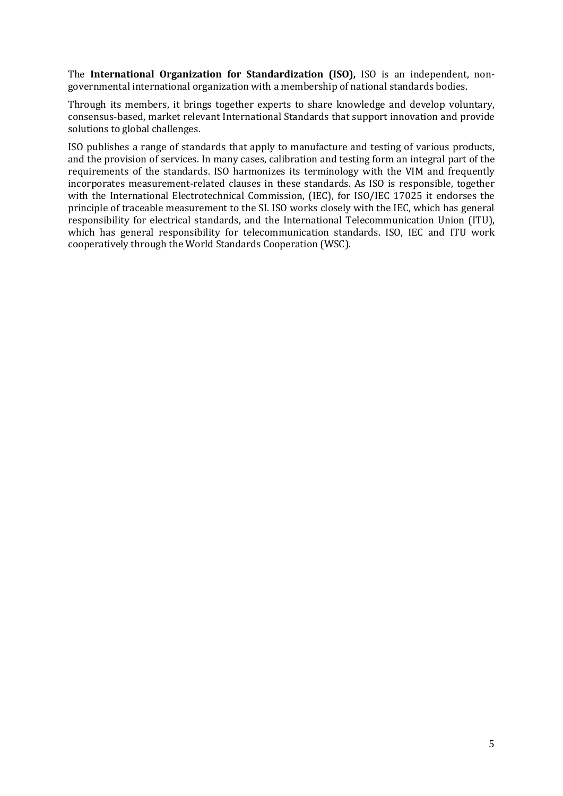The **International Organization for Standardization (ISO),** ISO is an independent, nongovernmental international organization with a membership of national standards bodies.

Through its members, it brings together experts to share knowledge and develop voluntary, consensus-based, market relevant International Standards that support innovation and provide solutions to global challenges.

ISO publishes a range of standards that apply to manufacture and testing of various products, and the provision of services. In many cases, calibration and testing form an integral part of the requirements of the standards. ISO harmonizes its terminology with the VIM and frequently incorporates measurement-related clauses in these standards. As ISO is responsible, together with the International Electrotechnical Commission, (IEC), for ISO/IEC 17025 it endorses the principle of traceable measurement to the SI. ISO works closely with the IEC, which has general responsibility for electrical standards, and the International Telecommunication Union (ITU), which has general responsibility for telecommunication standards. ISO, IEC and ITU work cooperatively through the World Standards Cooperation (WSC).